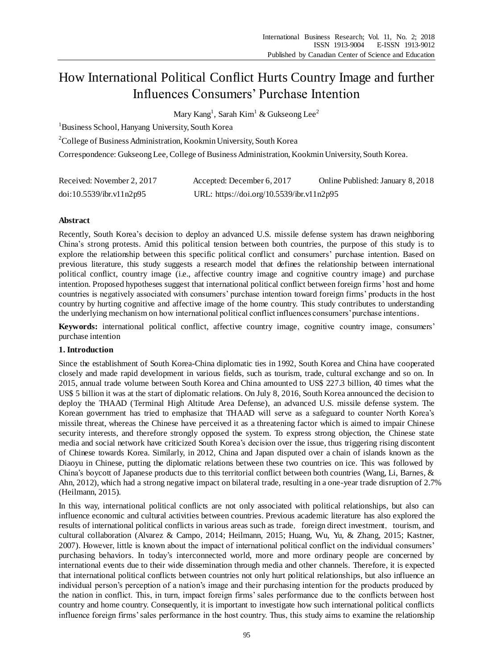# How International Political Conflict Hurts Country Image and further Influences Consumers' Purchase Intention

Mary Kang $^1$ , Sarah Kim $^1$  & Gukseong Lee $^2$ 

<sup>1</sup>Business School, Hanyang University, South Korea

<sup>2</sup>College of Business Administration, Kookmin University, South Korea

Correspondence: Gukseong Lee, College of Business Administration, Kookmin University, South Korea.

| Received: November 2, 2017 | Accepted: December 6, 2017                | Online Published: January 8, 2018 |
|----------------------------|-------------------------------------------|-----------------------------------|
| doi:10.5539/ibr.v11n2p95   | URL: https://doi.org/10.5539/ibr.v11n2p95 |                                   |

## **Abstract**

Recently, South Korea's decision to deploy an advanced U.S. missile defense system has drawn neighboring China's strong protests. Amid this political tension between both countries, the purpose of this study is to explore the relationship between this specific political conflict and consumers' purchase intention. Based on previous literature, this study suggests a research model that defines the relationship between international political conflict, country image (i.e., affective country image and cognitive country image) and purchase intention. Proposed hypotheses suggest that international political conflict between foreign firms' host and home countries is negatively associated with consumers' purchase intention toward foreign firms' products in the host country by hurting cognitive and affective image of the home country. This study contributes to understanding the underlying mechanism on how international political conflict influences consumers' purchase intentions.

**Keywords:** international political conflict, affective country image, cognitive country image, consumers' purchase intention

## **1. Introduction**

Since the establishment of South Korea-China diplomatic ties in 1992, South Korea and China have cooperated closely and made rapid development in various fields, such as tourism, trade, cultural exchange and so on. In 2015, annual trade volume between South Korea and China amounted to US\$ 227.3 billion, 40 times what the US\$ 5 billion it was at the start of diplomatic relations. On July 8, 2016, South Korea announced the decision to deploy the THAAD (Terminal High Altitude Area Defense), an advanced U.S. missile defense system. The Korean government has tried to emphasize that THAAD will serve as a safeguard to counter North Korea's missile threat, whereas the Chinese have perceived it as a threatening factor which is aimed to impair Chinese security interests, and therefore strongly opposed the system. To express strong objection, the Chinese state media and social network have criticized South Korea's decision over the issue, thus triggering rising discontent of Chinese towards Korea. Similarly, in 2012, China and Japan disputed over a chain of islands known as the Diaoyu in Chinese, putting the diplomatic relations between these two countries on ice. This was followed by China's boycott of Japanese products due to this territorial conflict between both countries (Wang, Li, Barnes, & Ahn, 2012), which had a strong negative impact on bilateral trade, resulting in a one-year trade disruption of 2.7% (Heilmann, 2015).

In this way, international political conflicts are not only associated with political relationships, but also can influence economic and cultural activities between countries. Previous academic literature has also explored the results of international political conflicts in various areas such as trade, foreign direct investment, tourism, and cultural collaboration (Alvarez & Campo, 2014; Heilmann, 2015; Huang, Wu, Yu, & Zhang, 2015; Kastner, 2007). However, little is known about the impact of international political conflict on the individual consumers' purchasing behaviors. In today's interconnected world, more and more ordinary people are concerned by international events due to their wide dissemination through media and other channels. Therefore, it is expected that international political conflicts between countries not only hurt political relationships, but also influence an individual person's perception of a nation's image and their purchasing intention for the products produced by the nation in conflict. This, in turn, impact foreign firms' sales performance due to the conflicts between host country and home country. Consequently, it is important to investigate how such international political conflicts influence foreign firms' sales performance in the host country. Thus, this study aims to examine the relationship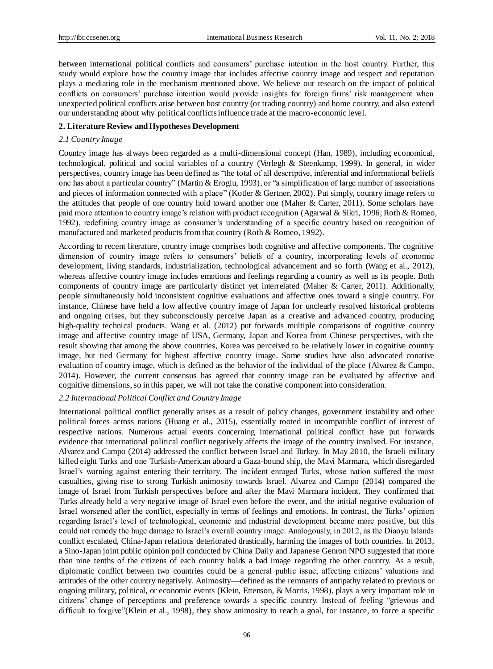between international political conflicts and consumers' purchase intention in the host country. Further, this study would explore how the country image that includes affective country image and respect and reputation plays a mediating role in the mechanism mentioned above. We believe our research on the impact of political conflicts on consumers' purchase intention would provide insights for foreign firms' risk management when unexpected political conflicts arise between host country (or trading country) and home country, and also extend our understanding about why political conflicts influence trade at the macro-economic level.

#### **2. Literature Review and Hypotheses Development**

#### *2.1 Country Image*

Country image has always been regarded as a multi-dimensional concept (Han, 1989), including economical, technological, political and social variables of a country (Verlegh & Steenkamp, 1999). In general, in wider perspectives, country image has been defined as "the total of all descriptive, inferential and informational beliefs one has about a particular country" (Martin & Eroglu, 1993), or "a simplification of large number of associations and pieces of information connected with a place" (Kotler & Gertner, 2002). Put simply, country image refers to the attitudes that people of one country hold toward another one (Maher & Carter, 2011). Some scholars have paid more attention to country image's relation with product recognition (Agarwal & Sikri, 1996; Roth & Romeo, 1992), redefining country image as consumer's understanding of a specific country based on recognition of manufactured and marketed products from that country (Roth & Romeo, 1992).

According to recent literature, country image comprises both cognitive and affective components. The cognitive dimension of country image refers to consumers' beliefs of a country, incorporating levels of economic development, living standards, industrialization, technological advancement and so forth (Wang et al., 2012), whereas affective country image includes emotions and feelings regarding a country as well as its people. Both components of country image are particularly distinct yet interrelated (Maher & Carter, 2011). Additionally, people simultaneously hold inconsistent cognitive evaluations and affective ones toward a single country. For instance, Chinese have held a low affective country image of Japan for unclearly resolved historical problems and ongoing crises, but they subconsciously perceive Japan as a creative and advanced country, producing high-quality technical products. Wang et al. (2012) put forwards multiple comparisons of cognitive country image and affective country image of USA, Germany, Japan and Korea from Chinese perspectives, with the result showing that among the above countries, Korea was perceived to be relatively lower in cognitive country image, but tied Germany for highest affective country image. Some studies have also advocated conative evaluation of country image, which is defined as the behavior of the individual of the place (Alvarez & Campo, 2014). However, the current consensus has agreed that country image can be evaluated by affective and cognitive dimensions, so in this paper, we will not take the conative component into consideration.

#### *2.2 International Political Conflict and Country Image*

International political conflict generally arises as a result of policy changes, government instability and other political forces across nations (Huang et al., 2015), essentially rooted in incompatible conflict of interest of respective nations. Numerous actual events concerning international political conflict have put forwards evidence that international political conflict negatively affects the image of the country involved. For instance, Alvarez and Campo (2014) addressed the conflict between Israel and Turkey. In May 2010, the Israeli military killed eight Turks and one Turkish-American aboard a Gaza-bound ship, the Mavi Marmara, which disregarded Israel's warning against entering their territory. The incident enraged Turks, whose nation suffered the most casualties, giving rise to strong Turkish animosity towards Israel. Alvarez and Campo (2014) compared the image of Israel from Turkish perspectives before and after the Mavi Marmara incident. They confirmed that Turks already held a very negative image of Israel even before the event, and the initial negative evaluation of Israel worsened after the conflict, especially in terms of feelings and emotions. In contrast, the Turks' opinion regarding Israel's level of technological, economic and industrial development became more positive, but this could not remedy the huge damage to Israel's overall country image. Analogously, in 2012, as the Diaoyu Islands conflict escalated, China-Japan relations deteriorated drastically, harming the images of both countries. In 2013, a Sino-Japan joint public opinion poll conducted by China Daily and Japanese Genron NPO suggested that more than nine tenths of the citizens of each country holds a bad image regarding the other country. As a result, diplomatic conflict between two countries could be a general public issue, affecting citizens' valuations and attitudes of the other country negatively. Animosity—defined as the remnants of antipathy related to previous or ongoing military, political, or economic events (Klein, Ettenson, & Morris, 1998), plays a very important role in citizens' change of perceptions and preference towards a specific country. Instead of feeling "grievous and difficult to forgive"(Klein et al., 1998), they show animosity to reach a goal, for instance, to force a specific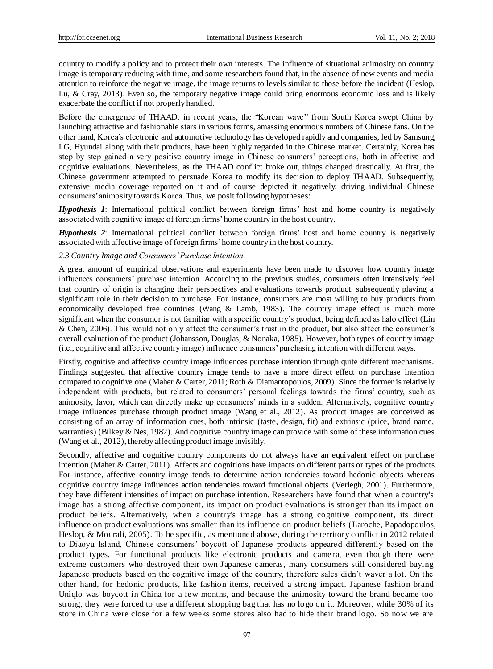country to modify a policy and to protect their own interests. The influence of situational animosity on country image is temporary reducing with time, and some researchers found that, in the absence of new events and media attention to reinforce the negative image, the image returns to levels similar to those before the incident (Heslop, Lu, & Cray, 2013). Even so, the temporary negative image could bring enormous economic loss and is likely exacerbate the conflict if not properly handled.

Before the emergence of THAAD, in recent years, the "Korean wave" from South Korea swept China by launching attractive and fashionable stars in various forms, amassing enormous numbers of Chinese fans. On the other hand, Korea's electronic and automotive technology has developed rapidly and companies, led by Samsung, LG, Hyundai along with their products, have been highly regarded in the Chinese market. Certainly, Korea has step by step gained a very positive country image in Chinese consumers' perceptions, both in affective and cognitive evaluations. Nevertheless, as the THAAD conflict broke out, things changed drastically. At first, the Chinese government attempted to persuade Korea to modify its decision to deploy THAAD. Subsequently, extensive media coverage reported on it and of course depicted it negatively, driving individual Chinese consumers' animosity towards Korea. Thus, we posit following hypotheses:

*Hypothesis 1*: International political conflict between foreign firms' host and home country is negatively associated with cognitive image of foreign firms'home country in the host country.

*Hypothesis 2*: International political conflict between foreign firms' host and home country is negatively associated with affective image of foreign firms'home country in the host country.

#### *2.3 Country Image and Consumers' Purchase Intention*

A great amount of empirical observations and experiments have been made to discover how country image influences consumers' purchase intention. According to the previous studies, consumers often intensively feel that country of origin is changing their perspectives and evaluations towards product, subsequently playing a significant role in their decision to purchase. For instance, consumers are most willing to buy products from economically developed free countries (Wang & Lamb, 1983). The country image effect is much more significant when the consumer is not familiar with a specific country's product, being defined as halo effect (Lin & Chen, 2006). This would not only affect the consumer's trust in the product, but also affect the consumer's overall evaluation of the product (Johansson, Douglas, & Nonaka, 1985). However, both types of country image (i.e., cognitive and affective country image) influence consumers' purchasing intention with different ways.

Firstly, cognitive and affective country image influences purchase intention through quite different mechanisms. Findings suggested that affective country image tends to have a more direct effect on purchase intention compared to cognitive one (Maher & Carter, 2011; Roth & Diamantopoulos, 2009). Since the former is relatively independent with products, but related to consumers' personal feelings towards the firms' country, such as animosity, favor, which can directly make up consumers' minds in a sudden. Alternatively, cognitive country image influences purchase through product image (Wang et al., 2012). As product images are conceived as consisting of an array of information cues, both intrinsic (taste, design, fit) and extrinsic (price, brand name, warranties) (Bilkey & Nes, 1982). And cognitive country image can provide with some of these information cues (Wang et al., 2012), thereby affecting product image invisibly.

Secondly, affective and cognitive country components do not always have an equivalent effect on purchase intention (Maher & Carter, 2011). Affects and cognitions have impacts on different parts or types of the products. For instance, affective country image tends to determine action tendencies toward hedonic objects whereas cognitive country image influences action tendencies toward functional objects (Verlegh, 2001). Furthermore, they have different intensities of impact on purchase intention. Researchers have found that when a country's image has a strong affective component, its impact on product evaluations is stronger than its impact on product beliefs. Alternatively, when a country's image has a strong cognitive component, its direct influence on product evaluations was smaller than its influence on product beliefs (Laroche, Papadopoulos, Heslop, & Mourali, 2005). To be specific, as mentioned above, during the territory conflict in 2012 related to Diaoyu Island, Chinese consumers' boycott of Japanese products appeared differently based on the product types. For functional products like electronic products and camera, even though there were extreme customers who destroyed their own Japanese cameras, many consumers still considered buying Japanese products based on the cognitive image of the country, therefore sales didn't waver a lot. On the other hand, for hedonic products, like fashion items, received a strong impact. Japanese fashion brand Uniqlo was boycott in China for a few months, and because the animosity toward the brand became too strong, they were forced to use a different shopping bag that has no logo on it. Moreover, while 30% of its store in China were close for a few weeks some stores also had to hide their brand logo. So now we are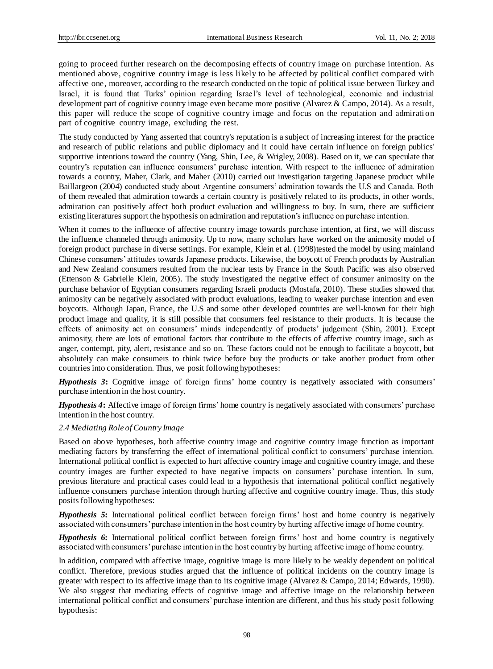going to proceed further research on the decomposing effects of country image on purchase intention. As mentioned above, cognitive country image is less likely to be affected by political conflict compared with affective one, moreover, according to the research conducted on the topic of political issue between Turkey and Israel, it is found that Turks' opinion regarding Israel's level of technological, economic and industrial development part of cognitive country image even became more positive (Alvarez & Campo, 2014). As a result, this paper will reduce the scope of cognitive country image and focus on the reputation and admirati on part of cognitive country image, excluding the rest.

The study conducted by Yang asserted that country's reputation is a subject of increasing interest for the practice and research of public relations and public diplomacy and it could have certain influence on foreign publics' supportive intentions toward the country (Yang, Shin, Lee, & Wrigley, 2008). Based on it, we can speculate that country's reputation can influence consumers' purchase intention. With respect to the influence of admiration towards a country, Maher, Clark, and Maher (2010) carried out investigation targeting Japanese product while Baillargeon (2004) conducted study about Argentine consumers' admiration towards the U.S and Canada. Both of them revealed that admiration towards a certain country is positively related to its products, in other words, admiration can positively affect both product evaluation and willingness to buy. In sum, there are sufficient existing literatures support the hypothesis on admiration and reputation's influence on purchase intention.

When it comes to the influence of affective country image towards purchase intention, at first, we will discuss the influence channeled through animosity. Up to now, many scholars have worked on the animosity model of foreign product purchase in diverse settings. For example, Klein et al. (1998)tested the model by using mainland Chinese consumers' attitudes towards Japanese products. Likewise, the boycott of French products by Australian and New Zealand consumers resulted from the nuclear tests by France in the South Pacific was also observed (Ettenson & Gabrielle Klein, 2005). The study investigated the negative effect of consumer animosity on the purchase behavior of Egyptian consumers regarding Israeli products (Mostafa, 2010). These studies showed that animosity can be negatively associated with product evaluations, leading to weaker purchase intention and even boycotts. Although Japan, France, the U.S and some other developed countries are well-known for their high product image and quality, it is still possible that consumers feel resistance to their products. It is because the effects of animosity act on consumers' minds independently of products' judgement (Shin, 2001). Except animosity, there are lots of emotional factors that contribute to the effects of affective country image, such as anger, contempt, pity, alert, resistance and so on. These factors could not be enough to facilitate a boycott, but absolutely can make consumers to think twice before buy the products or take another product from other countries into consideration. Thus, we posit following hypotheses:

*Hypothesis 3***:** Cognitive image of foreign firms' home country is negatively associated with consumers' purchase intention in the host country.

*Hypothesis 4***:** Affective image of foreign firms' home country is negatively associated with consumers' purchase intention in the host country.

#### *2.4 Mediating Role of Country Image*

Based on above hypotheses, both affective country image and cognitive country image function as important mediating factors by transferring the effect of international political conflict to consumers' purchase intention. International political conflict is expected to hurt affective country image and cognitive country image, and these country images are further expected to have negative impacts on consumers' purchase intention. In sum, previous literature and practical cases could lead to a hypothesis that international political conflict negatively influence consumers purchase intention through hurting affective and cognitive country image. Thus, this study posits following hypotheses:

*Hypothesis 5***:** International political conflict between foreign firms' host and home country is negatively associated with consumers' purchase intention in the host country by hurting affective image of home country.

*Hypothesis 6***:** International political conflict between foreign firms' host and home country is negatively associated with consumers' purchase intention in the host country by hurting affective image of home country.

In addition, compared with affective image, cognitive image is more likely to be weakly dependent on political conflict. Therefore, previous studies argued that the influence of political incidents on the country image is greater with respect to its affective image than to its cognitive image (Alvarez & Campo, 2014; Edwards, 1990). We also suggest that mediating effects of cognitive image and affective image on the relationship between international political conflict and consumers' purchase intention are different, and thus his study posit following hypothesis: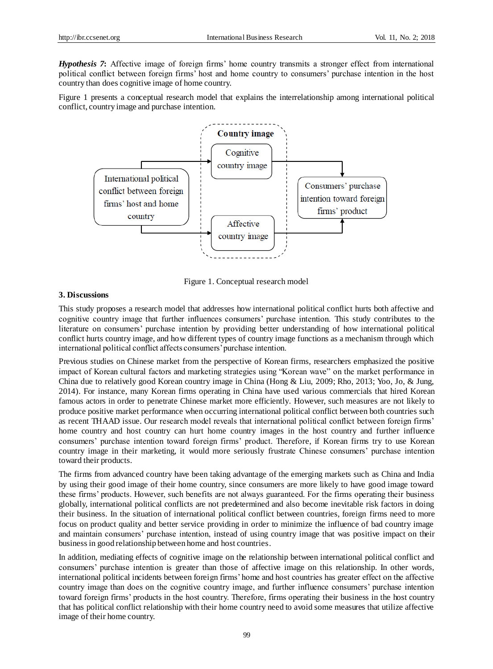*Hypothesis 7***:** Affective image of foreign firms' home country transmits a stronger effect from international political conflict between foreign firms' host and home country to consumers' purchase intention in the host country than does cognitive image of home country.

Figure 1 presents a conceptual research model that explains the interrelationship among international political conflict, country image and purchase intention.



Figure 1. Conceptual research model

## **3. Discussions**

This study proposes a research model that addresses how international political conflict hurts both affective and cognitive country image that further influences consumers' purchase intention. This study contributes to the literature on consumers' purchase intention by providing better understanding of how international political conflict hurts country image, and how different types of country image functions as a mechanism through which international political conflict affects consumers' purchase intention.

Previous studies on Chinese market from the perspective of Korean firms, researchers emphasized the positive impact of Korean cultural factors and marketing strategies using "Korean wave" on the market performance in China due to relatively good Korean country image in China (Hong & Liu, 2009; Rho, 2013; Yoo, Jo, & Jung, 2014). For instance, many Korean firms operating in China have used various commercials that hired Korean famous actors in order to penetrate Chinese market more efficiently. However, such measures are not likely to produce positive market performance when occurring international political conflict between both countries such as recent THAAD issue. Our research model reveals that international political conflict between foreign firms' home country and host country can hurt home country images in the host country and further influence consumers' purchase intention toward foreign firms' product. Therefore, if Korean firms try to use Korean country image in their marketing, it would more seriously frustrate Chinese consumers' purchase intention toward their products.

The firms from advanced country have been taking advantage of the emerging markets such as China and India by using their good image of their home country, since consumers are more likely to have good image toward these firms' products. However, such benefits are not always guaranteed. For the firms operating their business globally, international political conflicts are not predetermined and also become inevitable risk factors in doing their business. In the situation of international political conflict between countries, foreign firms need to more focus on product quality and better service providing in order to minimize the influence of bad country image and maintain consumers' purchase intention, instead of using country image that was positive impact on their business in good relationship between home and host countries.

In addition, mediating effects of cognitive image on the relationship between international political conflict and consumers' purchase intention is greater than those of affective image on this relationship. In other words, international political incidents between foreign firms' home and host countries has greater effect on the affective country image than does on the cognitive country image, and further influence consumers' purchase intention toward foreign firms' products in the host country. Therefore, firms operating their business in the host country that has political conflict relationship with their home country need to avoid some measures that utilize affective image of their home country.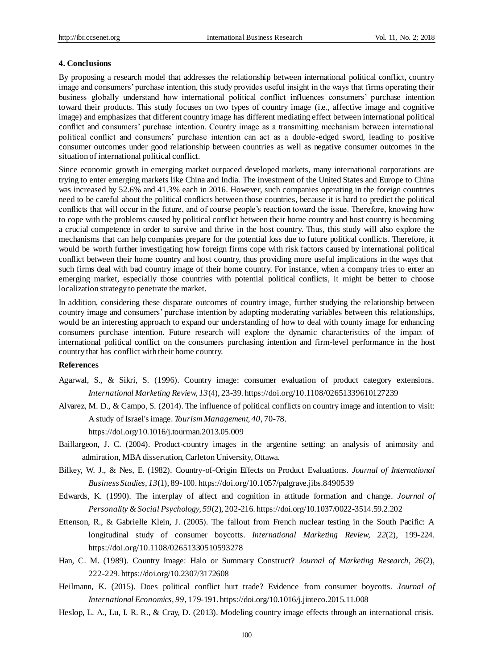#### **4. Conclusions**

By proposing a research model that addresses the relationship between international political conflict, country image and consumers' purchase intention, this study provides useful insight in the ways that firms operating their business globally understand how international political conflict influences consumers' purchase intention toward their products. This study focuses on two types of country image (i.e., affective image and cognitive image) and emphasizes that different country image has different mediating effect between international political conflict and consumers' purchase intention. Country image as a transmitting mechanism between international political conflict and consumers' purchase intention can act as a double-edged sword, leading to positive consumer outcomes under good relationship between countries as well as negative consumer outcomes in the situation of international political conflict.

Since economic growth in emerging market outpaced developed markets, many international corporations are trying to enter emerging markets like China and India. The investment of the United States and Europe to China was increased by 52.6% and 41.3% each in 2016. However, such companies operating in the foreign countries need to be careful about the political conflicts between those countries, because it is hard to predict the political conflicts that will occur in the future, and of course people's reaction toward the issue. Therefore, knowing how to cope with the problems caused by political conflict between their home country and host country is becoming a crucial competence in order to survive and thrive in the host country. Thus, this study will also explore the mechanisms that can help companies prepare for the potential loss due to future political conflicts. Therefore, it would be worth further investigating how foreign firms cope with risk factors caused by international political conflict between their home country and host country, thus providing more useful implications in the ways that such firms deal with bad country image of their home country. For instance, when a company tries to enter an emerging market, especially those countries with potential political conflicts, it might be better to choose localization strategy to penetrate the market.

In addition, considering these disparate outcomes of country image, further studying the relationship between country image and consumers' purchase intention by adopting moderating variables between this relationships, would be an interesting approach to expand our understanding of how to deal with county image for enhancing consumers purchase intention. Future research will explore the dynamic characteristics of the impact of international political conflict on the consumers purchasing intention and firm-level performance in the host country that has conflict with their home country.

#### **References**

- Agarwal, S., & Sikri, S. (1996). Country image: consumer evaluation of product category extensions. *International Marketing Review, 13*(4), 23-39. <https://doi.org/10.1108/02651339610127239>
- Alvarez, M. D., & Campo, S. (2014). The influence of political conflicts on country image and intention to visit: A study of Israel's image. *Tourism Management, 40*, 70-78.

https://doi.org/10.1016/j.tourman.2013.05.009

- Baillargeon, J. C. (2004). Product-country images in the argentine setting: an analysis of animosity and admiration, MBA dissertation, Carleton University, Ottawa.
- Bilkey, W. J., & Nes, E. (1982). Country-of-Origin Effects on Product Evaluations. *Journal of International Business Studies, 13*(1), 89-100. https://doi.org/10.1057/palgrave.jibs.8490539
- Edwards, K. (1990). The interplay of affect and cognition in attitude formation and change. *Journal of Personality & Social Psychology, 59*(2), 202-216. https://doi.org/10.1037/0022-3514.59.2.202
- Ettenson, R., & Gabrielle Klein, J. (2005). The fallout from French nuclear testing in the South Pacific: A longitudinal study of consumer boycotts. *International Marketing Review, 22*(2), 199-224. <https://doi.org/10.1108/02651330510593278>
- Han, C. M. (1989). Country Image: Halo or Summary Construct? *Journal of Marketing Research, 26*(2), 222-229. https://doi.org/10.2307/3172608
- Heilmann, K. (2015). Does political conflict hurt trade? Evidence from consumer boycotts. *Journal of International Economics, 99*, 179-191. <https://doi.org/10.1016/j.jinteco.2015.11.008>
- Heslop, L. A., Lu, I. R. R., & Cray, D. (2013). Modeling country image effects through an international crisis.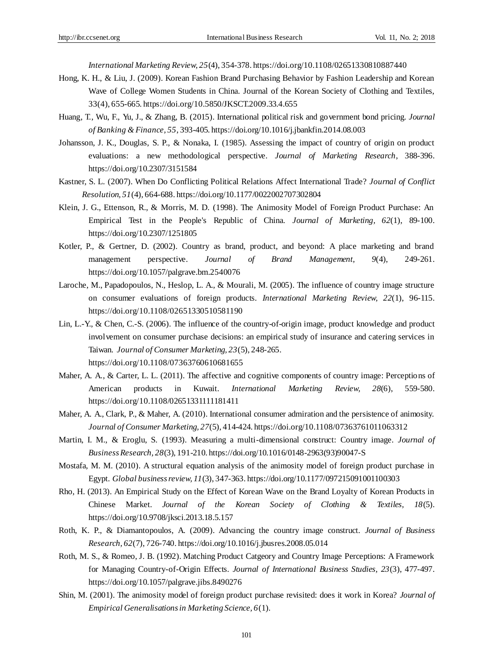*International Marketing Review, 25*(4), 354-378. <https://doi.org/10.1108/02651330810887440>

- Hong, K. H., & Liu, J. (2009). Korean Fashion Brand Purchasing Behavior by Fashion Leadership and Korean Wave of College Women Students in China. Journal of the Korean Society of Clothing and Textiles, 33(4), 655-665[. https://doi.org/10.5850/JKSCT.2009.33.4.655](https://doi.org/10.1108/02651330810887440)
- Huang, T., Wu, F., Yu, J., & Zhang, B. (2015). International political risk and government bond pricing. *Journal of Banking & Finance, 55*, 393-405. https://doi.org/10.1016/j.jbankfin.2014.08.003
- Johansson, J. K., Douglas, S. P., & Nonaka, I. (1985). Assessing the impact of country of origin on product evaluations: a new methodological perspective. *Journal of Marketing Research*, 388-396. https://doi.org/10.2307/3151584
- Kastner, S. L. (2007). When Do Conflicting Political Relations Affect International Trade? *Journal of Conflict Resolution, 51*(4), 664-688. https://doi.org/10.1177/0022002707302804
- Klein, J. G., Ettenson, R., & Morris, M. D. (1998). The Animosity Model of Foreign Product Purchase: An Empirical Test in the People's Republic of China. *Journal of Marketing, 62*(1), 89-100. https://doi.org/10.2307/1251805
- Kotler, P., & Gertner, D. (2002). Country as brand, product, and beyond: A place marketing and brand management perspective. *Journal of Brand Management, 9*(4), 249-261. <https://doi.org/10.1057/palgrave.bm.2540076>
- Laroche, M., Papadopoulos, N., Heslop, L. A., & Mourali, M. (2005). The influence of country image structure on consumer evaluations of foreign products. *International Marketing Review, 22*(1), 96-115. <https://doi.org/10.1108/02651330510581190>
- Lin, L.-Y., & Chen, C.-S. (2006). The influence of the country-of-origin image, product knowledge and product involvement on consumer purchase decisions: an empirical study of insurance and catering services in Taiwan. *Journal of Consumer Marketing, 23*(5), 248-265. <https://doi.org/10.1108/07363760610681655>
- Maher, A. A., & Carter, L. L. (2011). The affective and cognitive components of country image: Perceptions of American products in Kuwait. *International Marketing Review, 28*(6), 559-580. https://doi.org/10.1108/02651331111181411
- Maher, A. A., Clark, P., & Maher, A. (2010). International consumer admiration and the persistence of animosity. *Journal of Consumer Marketing, 27*(5), 414-424. <https://doi.org/10.1108/07363761011063312>
- Martin, I. M., & Eroglu, S. (1993). Measuring a multi-dimensional construct: Country image. *Journal of Business Research, 28*(3), 191-210. [https://doi.org/10.1016/0148-2963\(93\)90047-S](https://doi.org/10.1016/0148-2963(93)90047-S)
- Mostafa, M. M. (2010). A structural equation analysis of the animosity model of foreign product purchase in Egypt. *Global business review, 11*(3), 347-363. https://doi.org/10.1177/097215091001100303
- Rho, H. (2013). An Empirical Study on the Effect of Korean Wave on the Brand Loyalty of Korean Products in Chinese Market. *Journal of the Korean Society of Clothing & Textiles, 18*(5). https://doi.org/10.9708/jksci.2013.18.5.157
- Roth, K. P., & Diamantopoulos, A. (2009). Advancing the country image construct. *Journal of Business Research, 62*(7), 726-740. <https://doi.org/10.1016/j.jbusres.2008.05.014>
- Roth, M. S., & Romeo, J. B. (1992). Matching Product Catgeory and Country Image Perceptions: A Framework for Managing Country-of-Origin Effects. *Journal of International Business Studies, 23*(3), 477-497. https://doi.org/10.1057/palgrave.jibs.8490276
- Shin, M. (2001). The animosity model of foreign product purchase revisited: does it work in Korea? *Journal of Empirical Generalisations in Marketing Science, 6*(1).